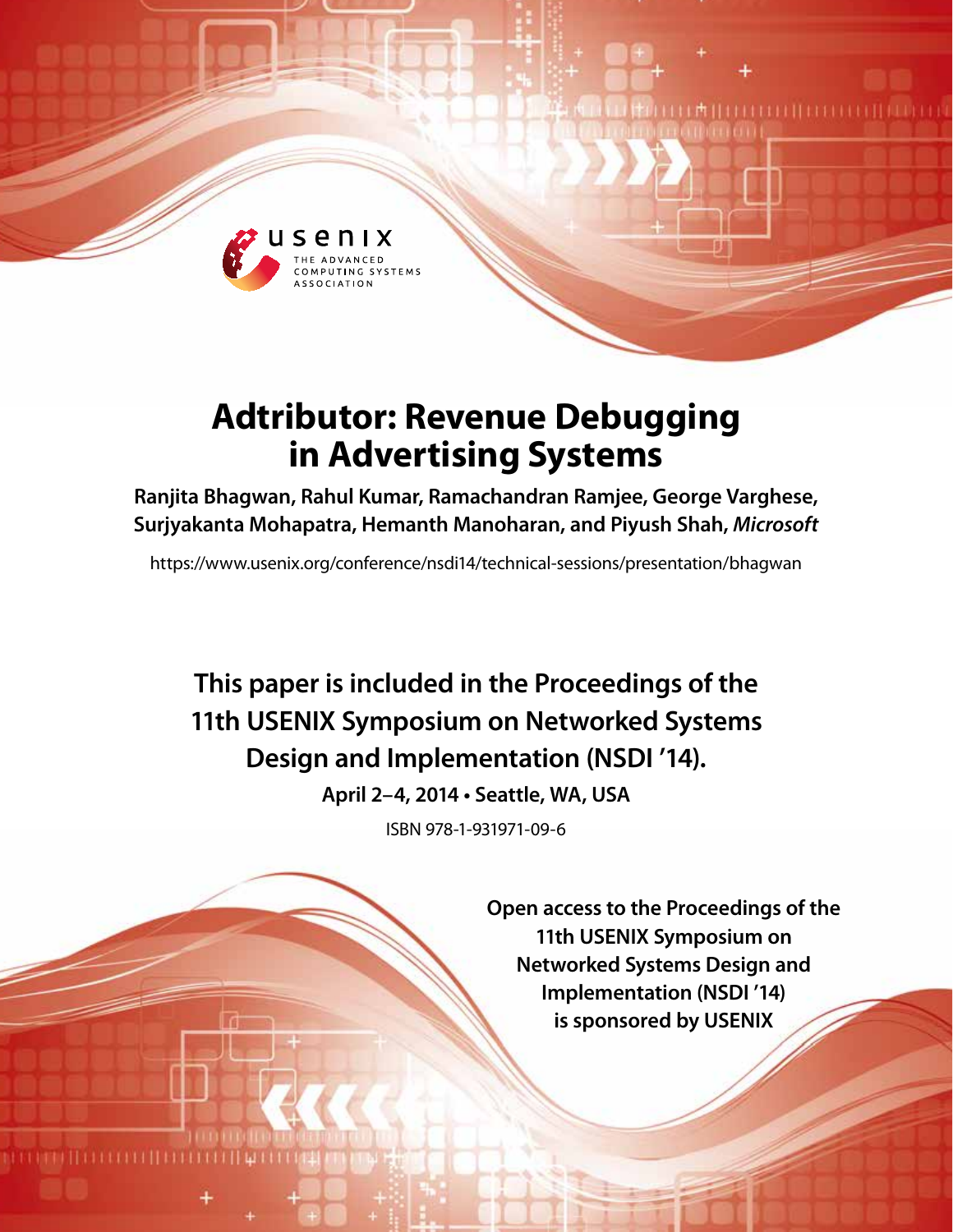

# **Adtributor: Revenue Debugging in Advertising Systems**

**Ranjita Bhagwan, Rahul Kumar, Ramachandran Ramjee, George Varghese, Surjyakanta Mohapatra, Hemanth Manoharan, and Piyush Shah,** *Microsoft*

https://www.usenix.org/conference/nsdi14/technical-sessions/presentation/bhagwan

**This paper is included in the Proceedings of the 11th USENIX Symposium on Networked Systems Design and Implementation (NSDI '14).**

**April 2–4, 2014 • Seattle, WA, USA**

ISBN 978-1-931971-09-6

**Open access to the Proceedings of the 11th USENIX Symposium on Networked Systems Design and Implementation (NSDI '14) is sponsored by USENIX**

THURTH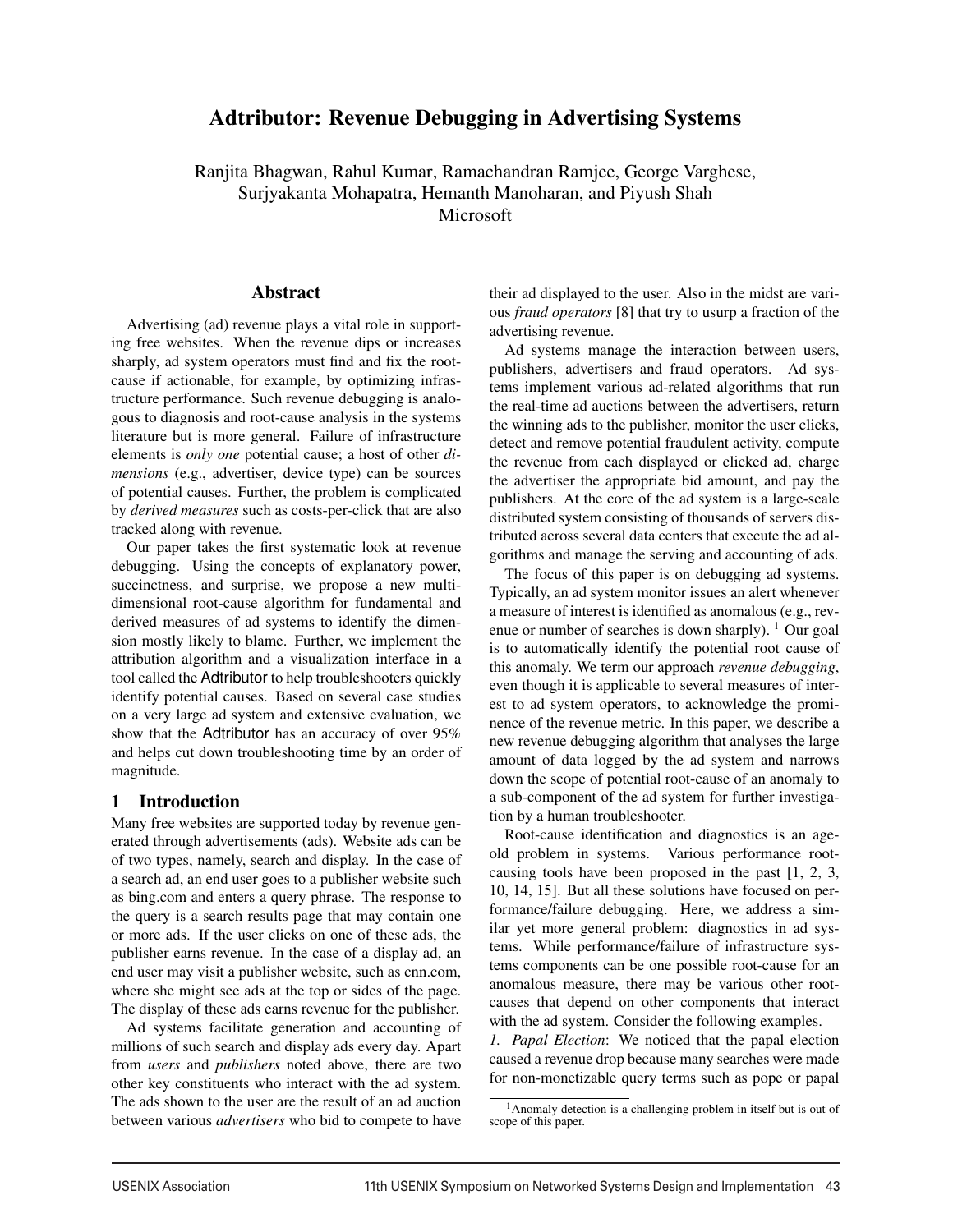# Adtributor: Revenue Debugging in Advertising Systems

Ranjita Bhagwan, Rahul Kumar, Ramachandran Ramjee, George Varghese, Surjyakanta Mohapatra, Hemanth Manoharan, and Piyush Shah Microsoft

### Abstract

Advertising (ad) revenue plays a vital role in supporting free websites. When the revenue dips or increases sharply, ad system operators must find and fix the rootcause if actionable, for example, by optimizing infrastructure performance. Such revenue debugging is analogous to diagnosis and root-cause analysis in the systems literature but is more general. Failure of infrastructure elements is *only one* potential cause; a host of other *dimensions* (e.g., advertiser, device type) can be sources of potential causes. Further, the problem is complicated by *derived measures* such as costs-per-click that are also tracked along with revenue.

Our paper takes the first systematic look at revenue debugging. Using the concepts of explanatory power, succinctness, and surprise, we propose a new multidimensional root-cause algorithm for fundamental and derived measures of ad systems to identify the dimension mostly likely to blame. Further, we implement the attribution algorithm and a visualization interface in a tool called the Adtributor to help troubleshooters quickly identify potential causes. Based on several case studies on a very large ad system and extensive evaluation, we show that the Adtributor has an accuracy of over 95% and helps cut down troubleshooting time by an order of magnitude.

#### 1 Introduction

Many free websites are supported today by revenue generated through advertisements (ads). Website ads can be of two types, namely, search and display. In the case of a search ad, an end user goes to a publisher website such as bing.com and enters a query phrase. The response to the query is a search results page that may contain one or more ads. If the user clicks on one of these ads, the publisher earns revenue. In the case of a display ad, an end user may visit a publisher website, such as cnn.com, where she might see ads at the top or sides of the page. The display of these ads earns revenue for the publisher.

Ad systems facilitate generation and accounting of millions of such search and display ads every day. Apart from *users* and *publishers* noted above, there are two other key constituents who interact with the ad system. The ads shown to the user are the result of an ad auction between various *advertisers* who bid to compete to have their ad displayed to the user. Also in the midst are various *fraud operators* [8] that try to usurp a fraction of the advertising revenue.

Ad systems manage the interaction between users, publishers, advertisers and fraud operators. Ad systems implement various ad-related algorithms that run the real-time ad auctions between the advertisers, return the winning ads to the publisher, monitor the user clicks, detect and remove potential fraudulent activity, compute the revenue from each displayed or clicked ad, charge the advertiser the appropriate bid amount, and pay the publishers. At the core of the ad system is a large-scale distributed system consisting of thousands of servers distributed across several data centers that execute the ad algorithms and manage the serving and accounting of ads.

The focus of this paper is on debugging ad systems. Typically, an ad system monitor issues an alert whenever a measure of interest is identified as anomalous (e.g., revenue or number of searches is down sharply).  $1$  Our goal is to automatically identify the potential root cause of this anomaly. We term our approach *revenue debugging*, even though it is applicable to several measures of interest to ad system operators, to acknowledge the prominence of the revenue metric. In this paper, we describe a new revenue debugging algorithm that analyses the large amount of data logged by the ad system and narrows down the scope of potential root-cause of an anomaly to a sub-component of the ad system for further investigation by a human troubleshooter.

Root-cause identification and diagnostics is an ageold problem in systems. Various performance rootcausing tools have been proposed in the past [1, 2, 3, 10, 14, 15]. But all these solutions have focused on performance/failure debugging. Here, we address a similar yet more general problem: diagnostics in ad systems. While performance/failure of infrastructure systems components can be one possible root-cause for an anomalous measure, there may be various other rootcauses that depend on other components that interact with the ad system. Consider the following examples.

*1. Papal Election*: We noticed that the papal election caused a revenue drop because many searches were made for non-monetizable query terms such as pope or papal

<sup>&</sup>lt;sup>1</sup>Anomaly detection is a challenging problem in itself but is out of scope of this paper.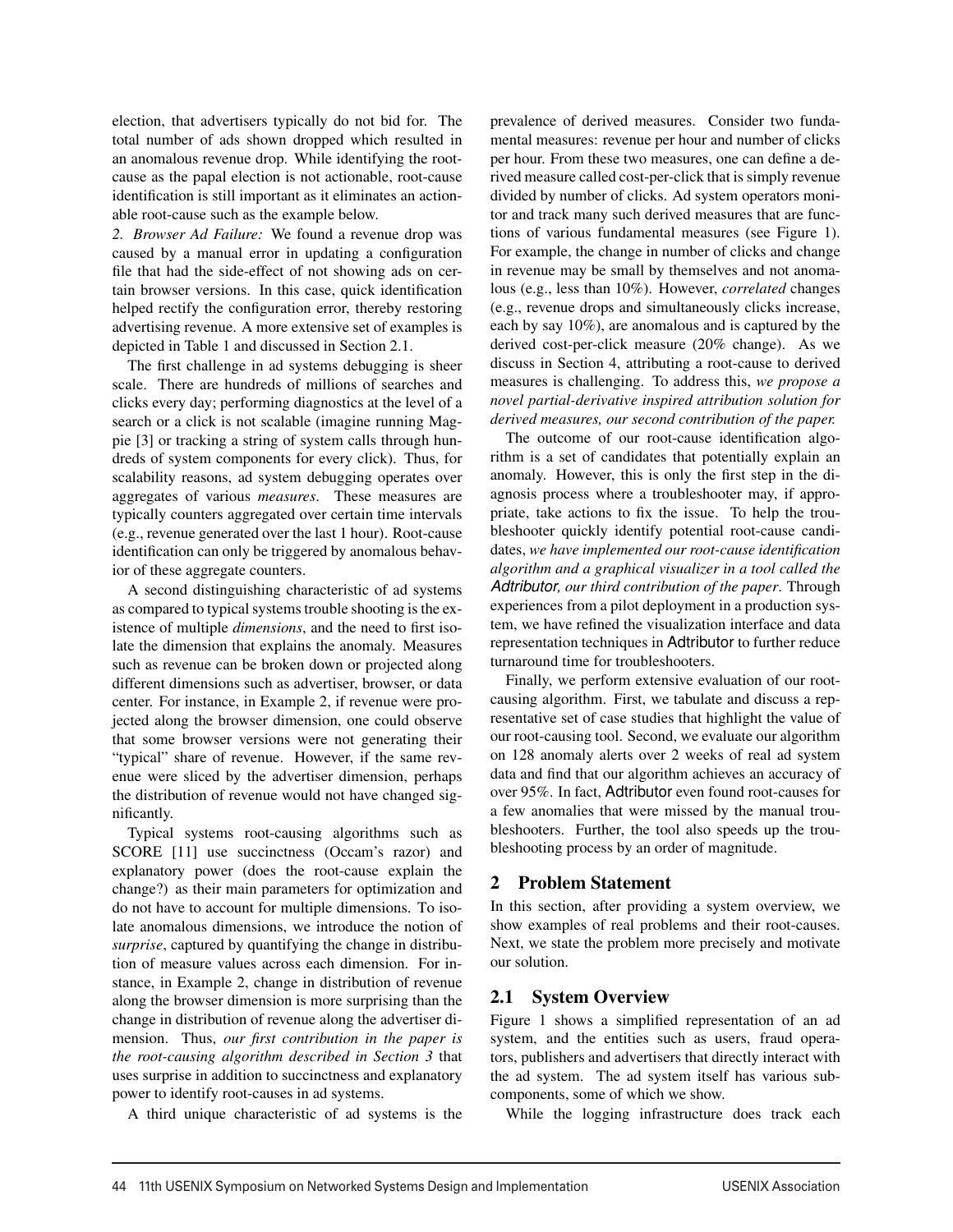election, that advertisers typically do not bid for. The total number of ads shown dropped which resulted in an anomalous revenue drop. While identifying the rootcause as the papal election is not actionable, root-cause identification is still important as it eliminates an actionable root-cause such as the example below.

*2. Browser Ad Failure:* We found a revenue drop was caused by a manual error in updating a configuration file that had the side-effect of not showing ads on certain browser versions. In this case, quick identification helped rectify the configuration error, thereby restoring advertising revenue. A more extensive set of examples is depicted in Table 1 and discussed in Section 2.1.

The first challenge in ad systems debugging is sheer scale. There are hundreds of millions of searches and clicks every day; performing diagnostics at the level of a search or a click is not scalable (imagine running Magpie [3] or tracking a string of system calls through hundreds of system components for every click). Thus, for scalability reasons, ad system debugging operates over aggregates of various *measures*. These measures are typically counters aggregated over certain time intervals (e.g., revenue generated over the last 1 hour). Root-cause identification can only be triggered by anomalous behavior of these aggregate counters.

A second distinguishing characteristic of ad systems as compared to typical systems trouble shooting is the existence of multiple *dimensions*, and the need to first isolate the dimension that explains the anomaly. Measures such as revenue can be broken down or projected along different dimensions such as advertiser, browser, or data center. For instance, in Example 2, if revenue were projected along the browser dimension, one could observe that some browser versions were not generating their "typical" share of revenue. However, if the same revenue were sliced by the advertiser dimension, perhaps the distribution of revenue would not have changed significantly.

Typical systems root-causing algorithms such as SCORE [11] use succinctness (Occam's razor) and explanatory power (does the root-cause explain the change?) as their main parameters for optimization and do not have to account for multiple dimensions. To isolate anomalous dimensions, we introduce the notion of *surprise*, captured by quantifying the change in distribution of measure values across each dimension. For instance, in Example 2, change in distribution of revenue along the browser dimension is more surprising than the change in distribution of revenue along the advertiser dimension. Thus, *our first contribution in the paper is the root-causing algorithm described in Section 3* that uses surprise in addition to succinctness and explanatory power to identify root-causes in ad systems.

A third unique characteristic of ad systems is the

prevalence of derived measures. Consider two fundamental measures: revenue per hour and number of clicks per hour. From these two measures, one can define a derived measure called cost-per-click that is simply revenue divided by number of clicks. Ad system operators monitor and track many such derived measures that are functions of various fundamental measures (see Figure 1). For example, the change in number of clicks and change in revenue may be small by themselves and not anomalous (e.g., less than 10%). However, *correlated* changes (e.g., revenue drops and simultaneously clicks increase, each by say 10%), are anomalous and is captured by the derived cost-per-click measure (20% change). As we discuss in Section 4, attributing a root-cause to derived measures is challenging. To address this, *we propose a novel partial-derivative inspired attribution solution for derived measures, our second contribution of the paper.*

The outcome of our root-cause identification algorithm is a set of candidates that potentially explain an anomaly. However, this is only the first step in the diagnosis process where a troubleshooter may, if appropriate, take actions to fix the issue. To help the troubleshooter quickly identify potential root-cause candidates, *we have implemented our root-cause identification algorithm and a graphical visualizer in a tool called the Adtributor, our third contribution of the paper*. Through experiences from a pilot deployment in a production system, we have refined the visualization interface and data representation techniques in Adtributor to further reduce turnaround time for troubleshooters.

Finally, we perform extensive evaluation of our rootcausing algorithm. First, we tabulate and discuss a representative set of case studies that highlight the value of our root-causing tool. Second, we evaluate our algorithm on 128 anomaly alerts over 2 weeks of real ad system data and find that our algorithm achieves an accuracy of over 95%. In fact, Adtributor even found root-causes for a few anomalies that were missed by the manual troubleshooters. Further, the tool also speeds up the troubleshooting process by an order of magnitude.

## 2 Problem Statement

In this section, after providing a system overview, we show examples of real problems and their root-causes. Next, we state the problem more precisely and motivate our solution.

# 2.1 System Overview

Figure 1 shows a simplified representation of an ad system, and the entities such as users, fraud operators, publishers and advertisers that directly interact with the ad system. The ad system itself has various subcomponents, some of which we show.

While the logging infrastructure does track each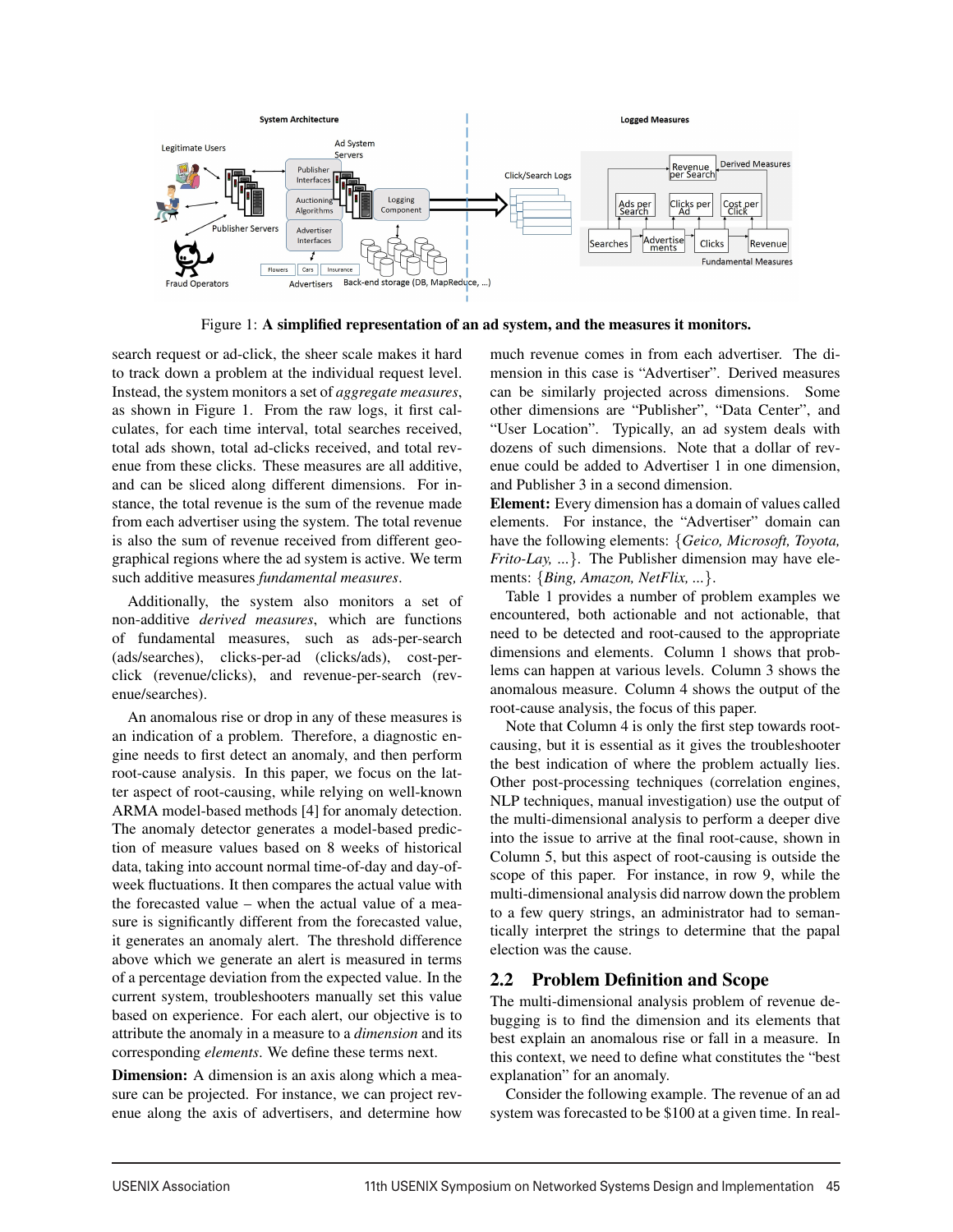

Figure 1: A simplified representation of an ad system, and the measures it monitors.

search request or ad-click, the sheer scale makes it hard to track down a problem at the individual request level. Instead, the system monitors a set of *aggregate measures*, as shown in Figure 1. From the raw logs, it first calculates, for each time interval, total searches received, total ads shown, total ad-clicks received, and total revenue from these clicks. These measures are all additive, and can be sliced along different dimensions. For instance, the total revenue is the sum of the revenue made from each advertiser using the system. The total revenue is also the sum of revenue received from different geographical regions where the ad system is active. We term such additive measures *fundamental measures*.

Additionally, the system also monitors a set of non-additive *derived measures*, which are functions of fundamental measures, such as ads-per-search (ads/searches), clicks-per-ad (clicks/ads), cost-perclick (revenue/clicks), and revenue-per-search (revenue/searches).

An anomalous rise or drop in any of these measures is an indication of a problem. Therefore, a diagnostic engine needs to first detect an anomaly, and then perform root-cause analysis. In this paper, we focus on the latter aspect of root-causing, while relying on well-known ARMA model-based methods [4] for anomaly detection. The anomaly detector generates a model-based prediction of measure values based on 8 weeks of historical data, taking into account normal time-of-day and day-ofweek fluctuations. It then compares the actual value with the forecasted value – when the actual value of a measure is significantly different from the forecasted value, it generates an anomaly alert. The threshold difference above which we generate an alert is measured in terms of a percentage deviation from the expected value. In the current system, troubleshooters manually set this value based on experience. For each alert, our objective is to attribute the anomaly in a measure to a *dimension* and its corresponding *elements*. We define these terms next.

**Dimension:** A dimension is an axis along which a measure can be projected. For instance, we can project revenue along the axis of advertisers, and determine how much revenue comes in from each advertiser. The dimension in this case is "Advertiser". Derived measures can be similarly projected across dimensions. Some other dimensions are "Publisher", "Data Center", and "User Location". Typically, an ad system deals with dozens of such dimensions. Note that a dollar of revenue could be added to Advertiser 1 in one dimension, and Publisher 3 in a second dimension.

Element: Every dimension has a domain of values called elements. For instance, the "Advertiser" domain can have the following elements: {*Geico, Microsoft, Toyota, Frito-Lay, ...*}. The Publisher dimension may have elements: {*Bing, Amazon, NetFlix, ...*}.

Table 1 provides a number of problem examples we encountered, both actionable and not actionable, that need to be detected and root-caused to the appropriate dimensions and elements. Column 1 shows that problems can happen at various levels. Column 3 shows the anomalous measure. Column 4 shows the output of the root-cause analysis, the focus of this paper.

Note that Column 4 is only the first step towards rootcausing, but it is essential as it gives the troubleshooter the best indication of where the problem actually lies. Other post-processing techniques (correlation engines, NLP techniques, manual investigation) use the output of the multi-dimensional analysis to perform a deeper dive into the issue to arrive at the final root-cause, shown in Column 5, but this aspect of root-causing is outside the scope of this paper. For instance, in row 9, while the multi-dimensional analysis did narrow down the problem to a few query strings, an administrator had to semantically interpret the strings to determine that the papal election was the cause.

# 2.2 Problem Definition and Scope

The multi-dimensional analysis problem of revenue debugging is to find the dimension and its elements that best explain an anomalous rise or fall in a measure. In this context, we need to define what constitutes the "best explanation" for an anomaly.

Consider the following example. The revenue of an ad system was forecasted to be \$100 at a given time. In real-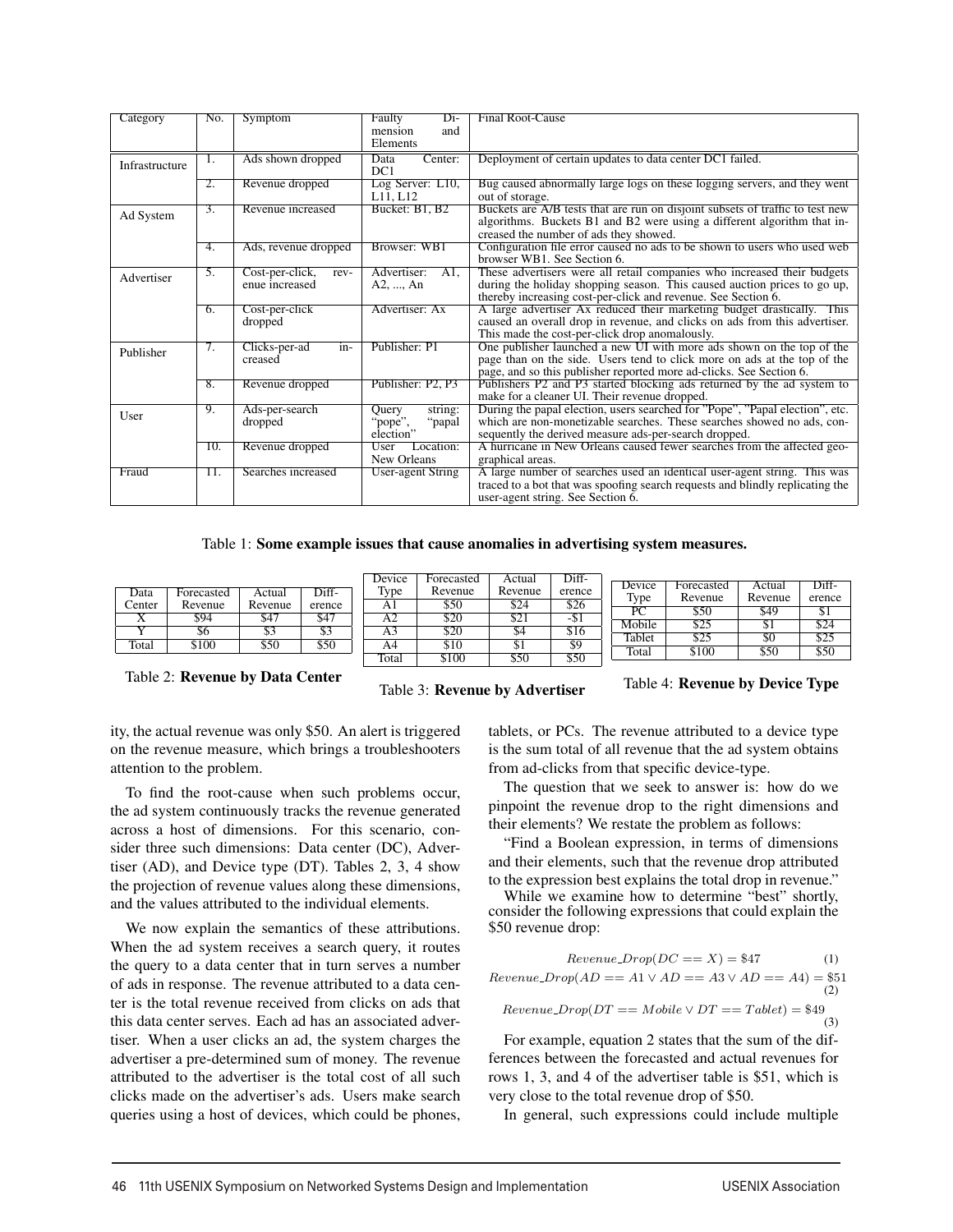| Category                             | No.               | Symptom                                     | Faulty<br>$Di-$<br>and<br>mension<br>Elements                                                                                                                                                      | <b>Final Root-Cause</b>                                                                                                                                                                                                  |
|--------------------------------------|-------------------|---------------------------------------------|----------------------------------------------------------------------------------------------------------------------------------------------------------------------------------------------------|--------------------------------------------------------------------------------------------------------------------------------------------------------------------------------------------------------------------------|
| Infrastructure                       | 1.                | Ads shown dropped                           | Center:<br>Data<br>DC1                                                                                                                                                                             | Deployment of certain updates to data center DC1 failed.                                                                                                                                                                 |
|                                      | 2.                | Revenue dropped                             | Log Server: L10,<br>L11, L12                                                                                                                                                                       | Bug caused abnormally large logs on these logging servers, and they went<br>out of storage.                                                                                                                              |
| Revenue increased<br>3.<br>Ad System |                   | Bucket: B1, B2                              | Buckets are A/B tests that are run on disjoint subsets of traffic to test new<br>algorithms. Buckets B1 and B2 were using a different algorithm that in-<br>creased the number of ads they showed. |                                                                                                                                                                                                                          |
|                                      | 4.                | Ads, revenue dropped                        | Browser: WB1                                                                                                                                                                                       | Configuration file error caused no ads to be shown to users who used web<br>browser WB1. See Section 6.                                                                                                                  |
| Advertiser                           | 5.                | Cost-per-click,<br>$rev-$<br>enue increased | Advertiser:<br>AI.<br>$A2, \ldots, An$                                                                                                                                                             | These advertisers were all retail companies who increased their budgets<br>during the holiday shopping season. This caused auction prices to go up,<br>thereby increasing cost-per-click and revenue. See Section 6.     |
|                                      | 6.                | Cost-per-click<br>dropped                   | Advertiser: Ax                                                                                                                                                                                     | A large advertiser Ax reduced their marketing budget drastically. This<br>caused an overall drop in revenue, and clicks on ads from this advertiser.<br>This made the cost-per-click drop anomalously.                   |
| Publisher                            | 7.                | Clicks-per-ad<br>in-<br>creased             | Publisher: P1                                                                                                                                                                                      | One publisher launched a new UI with more ads shown on the top of the<br>page than on the side. Users tend to click more on ads at the top of the<br>page, and so this publisher reported more ad-clicks. See Section 6. |
|                                      | 8.                | Revenue dropped                             | Publisher: P2, P3                                                                                                                                                                                  | Publishers P2 and P3 started blocking ads returned by the ad system to<br>make for a cleaner UI. Their revenue dropped.                                                                                                  |
| User                                 | 9.                | Ads-per-search<br>dropped                   | string:<br>Query<br>"pope",<br>"papal<br>election"                                                                                                                                                 | During the papal election, users searched for "Pope", "Papal election", etc.<br>which are non-monetizable searches. These searches showed no ads, con-<br>sequently the derived measure ads-per-search dropped.          |
|                                      | 10.               | Revenue dropped                             | Location:<br>User<br>New Orleans                                                                                                                                                                   | A hurricane in New Orleans caused fewer searches from the affected geo-<br>graphical areas.                                                                                                                              |
| Fraud                                | $\overline{11}$ . | Searches increased                          | <b>User-agent String</b>                                                                                                                                                                           | A large number of searches used an identical user-agent string. This was<br>traced to a bot that was spoofing search requests and blindly replicating the<br>user-agent string. See Section 6.                           |

Table 1: Some example issues that cause anomalies in advertising system measures.

|           |            |         |        | Device | Forecasted | Actual  | Diff-  |                     |            |         |        |
|-----------|------------|---------|--------|--------|------------|---------|--------|---------------------|------------|---------|--------|
| Data      | Forecasted | Actual  | Diff-  | Type   | Revenue    | Revenue | erence | Device              | Forecasted | Actual  | Diff-  |
|           |            |         |        |        |            |         |        | Type                | Revenue    | Revenue | erence |
| Center    | Revenue    | Revenue | erence | Αl     | \$50       | \$24    | \$26   | $\overline{D}$<br>U | \$50       | \$49    | ФI     |
| $\Lambda$ | \$94       | \$47    | \$47   | A2     | \$20       | \$21    | $-21$  |                     |            |         |        |
|           | 20         |         |        |        | \$20       |         |        | Mobile              | \$25       |         | \$24   |
|           |            | აა      | აა     | A3     |            | 54      | 210    | Tablet              | \$25       | \$0     | \$25   |
| Total     | \$100      | \$50    | \$50   | A4     | \$10       | JЬ      | \$9    |                     |            |         |        |
|           |            |         |        | Total  | \$100      | \$50    | \$50   | Total               | \$100      | \$50    | \$50   |
|           |            |         |        |        |            |         |        |                     |            |         |        |

Table 2: Revenue by Data Center

Table 3: Revenue by Advertiser

4

Table 4: Revenue by Device Type

ity, the actual revenue was only \$50. An alert is triggered on the revenue measure, which brings a troubleshooters attention to the problem.

To find the root-cause when such problems occur, the ad system continuously tracks the revenue generated across a host of dimensions. For this scenario, consider three such dimensions: Data center (DC), Advertiser (AD), and Device type (DT). Tables 2, 3, 4 show the projection of revenue values along these dimensions, and the values attributed to the individual elements.

We now explain the semantics of these attributions. When the ad system receives a search query, it routes the query to a data center that in turn serves a number of ads in response. The revenue attributed to a data center is the total revenue received from clicks on ads that this data center serves. Each ad has an associated advertiser. When a user clicks an ad, the system charges the advertiser a pre-determined sum of money. The revenue attributed to the advertiser is the total cost of all such clicks made on the advertiser's ads. Users make search queries using a host of devices, which could be phones,

tablets, or PCs. The revenue attributed to a device type is the sum total of all revenue that the ad system obtains from ad-clicks from that specific device-type.

The question that we seek to answer is: how do we pinpoint the revenue drop to the right dimensions and their elements? We restate the problem as follows:

"Find a Boolean expression, in terms of dimensions and their elements, such that the revenue drop attributed to the expression best explains the total drop in revenue."

While we examine how to determine "best" shortly, consider the following expressions that could explain the \$50 revenue drop:

$$
Revenue\_Drop(DC == X) = $47
$$
 (1)  
\n
$$
Revenue\_Drop(AD == A1 \lor AD == A3 \lor AD == A4) = $51
$$
 (2)  
\n
$$
Revenue\_Drop(DT == Mobile \lor DT == Tablet) = $49
$$

For example, equation 2 states that the sum of the differences between the forecasted and actual revenues for rows 1, 3, and 4 of the advertiser table is \$51, which is very close to the total revenue drop of \$50.

In general, such expressions could include multiple

(3)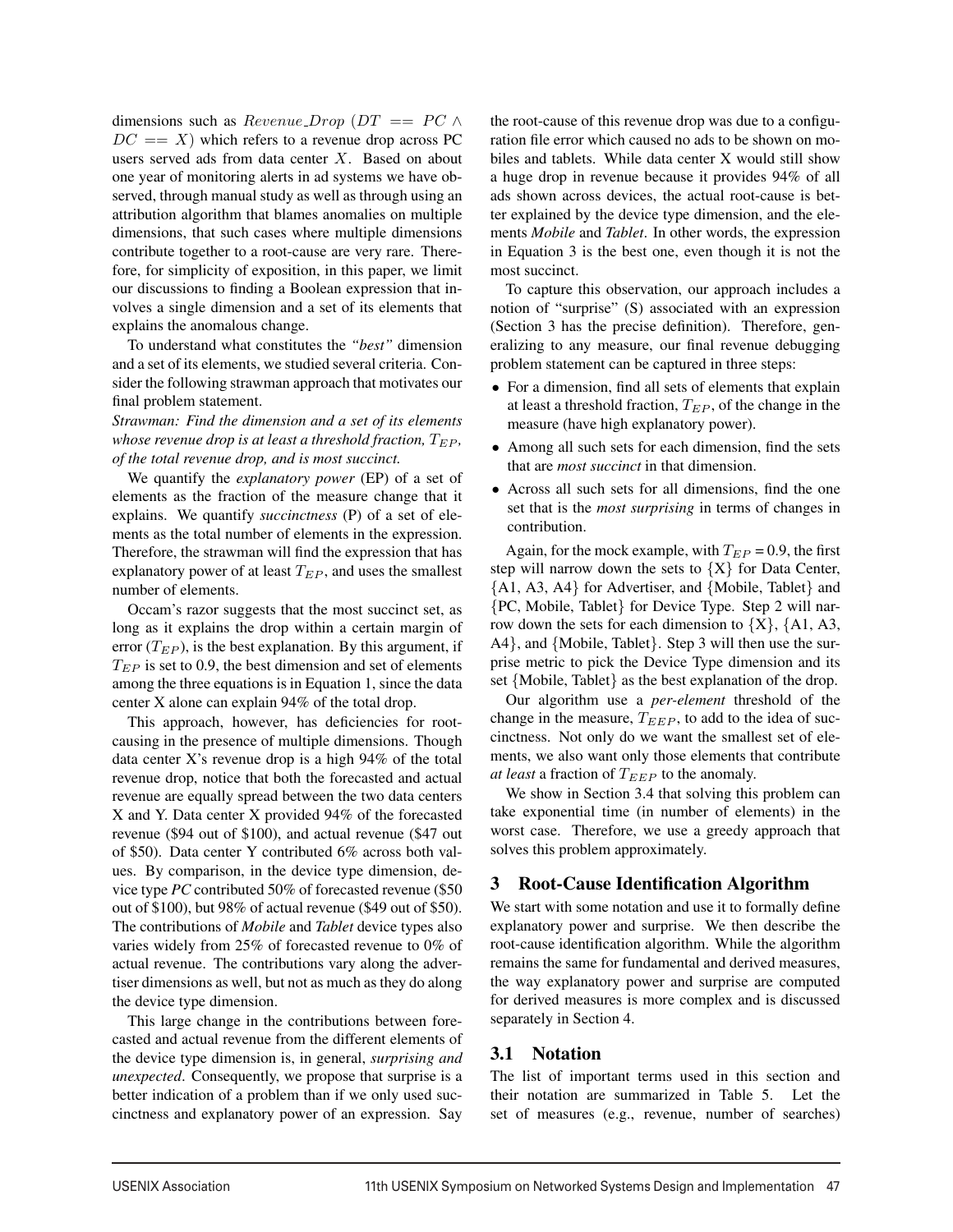dimensions such as  $Revenue\_Drop$  ( $DT = PC \wedge$  $DC == X$ ) which refers to a revenue drop across PC users served ads from data center X. Based on about one year of monitoring alerts in ad systems we have observed, through manual study as well as through using an attribution algorithm that blames anomalies on multiple dimensions, that such cases where multiple dimensions contribute together to a root-cause are very rare. Therefore, for simplicity of exposition, in this paper, we limit our discussions to finding a Boolean expression that involves a single dimension and a set of its elements that explains the anomalous change.

To understand what constitutes the *"best"* dimension and a set of its elements, we studied several criteria. Consider the following strawman approach that motivates our final problem statement.

*Strawman: Find the dimension and a set of its elements whose revenue drop is at least a threshold fraction,*  $T_{EP}$ , *of the total revenue drop, and is most succinct.*

We quantify the *explanatory power* (EP) of a set of elements as the fraction of the measure change that it explains. We quantify *succinctness* (P) of a set of elements as the total number of elements in the expression. Therefore, the strawman will find the expression that has explanatory power of at least  $T_{EP}$ , and uses the smallest number of elements.

Occam's razor suggests that the most succinct set, as long as it explains the drop within a certain margin of error  $(T_{EP})$ , is the best explanation. By this argument, if  $T_{EP}$  is set to 0.9, the best dimension and set of elements among the three equations is in Equation 1, since the data center X alone can explain 94% of the total drop.

This approach, however, has deficiencies for rootcausing in the presence of multiple dimensions. Though data center X's revenue drop is a high 94% of the total revenue drop, notice that both the forecasted and actual revenue are equally spread between the two data centers X and Y. Data center X provided 94% of the forecasted revenue (\$94 out of \$100), and actual revenue (\$47 out of \$50). Data center Y contributed 6% across both values. By comparison, in the device type dimension, device type *PC* contributed 50% of forecasted revenue (\$50 out of \$100), but 98% of actual revenue (\$49 out of \$50). The contributions of *Mobile* and *Tablet* device types also varies widely from 25% of forecasted revenue to 0% of actual revenue. The contributions vary along the advertiser dimensions as well, but not as much as they do along the device type dimension.

This large change in the contributions between forecasted and actual revenue from the different elements of the device type dimension is, in general, *surprising and unexpected*. Consequently, we propose that surprise is a better indication of a problem than if we only used succinctness and explanatory power of an expression. Say the root-cause of this revenue drop was due to a configuration file error which caused no ads to be shown on mobiles and tablets. While data center X would still show a huge drop in revenue because it provides 94% of all ads shown across devices, the actual root-cause is better explained by the device type dimension, and the elements *Mobile* and *Tablet*. In other words, the expression in Equation 3 is the best one, even though it is not the most succinct.

To capture this observation, our approach includes a notion of "surprise" (S) associated with an expression (Section 3 has the precise definition). Therefore, generalizing to any measure, our final revenue debugging problem statement can be captured in three steps:

- For a dimension, find all sets of elements that explain at least a threshold fraction,  $T_{EP}$ , of the change in the measure (have high explanatory power).
- Among all such sets for each dimension, find the sets that are *most succinct* in that dimension.
- Across all such sets for all dimensions, find the one set that is the *most surprising* in terms of changes in contribution.

Again, for the mock example, with  $T_{EP} = 0.9$ , the first step will narrow down the sets to  ${X}$  for Data Center, {A1, A3, A4} for Advertiser, and {Mobile, Tablet} and {PC, Mobile, Tablet} for Device Type. Step 2 will narrow down the sets for each dimension to  ${X}$ ,  ${A1, A3}$ , A4}, and {Mobile, Tablet}. Step 3 will then use the surprise metric to pick the Device Type dimension and its set {Mobile, Tablet} as the best explanation of the drop.

Our algorithm use a *per-element* threshold of the change in the measure,  $T_{EEP}$ , to add to the idea of succinctness. Not only do we want the smallest set of elements, we also want only those elements that contribute *at least* a fraction of  $T_{EEP}$  to the anomaly.

We show in Section 3.4 that solving this problem can take exponential time (in number of elements) in the worst case. Therefore, we use a greedy approach that solves this problem approximately.

## 3 Root-Cause Identification Algorithm

We start with some notation and use it to formally define explanatory power and surprise. We then describe the root-cause identification algorithm. While the algorithm remains the same for fundamental and derived measures, the way explanatory power and surprise are computed for derived measures is more complex and is discussed separately in Section 4.

#### 3.1 Notation

5

The list of important terms used in this section and their notation are summarized in Table 5. Let the set of measures (e.g., revenue, number of searches)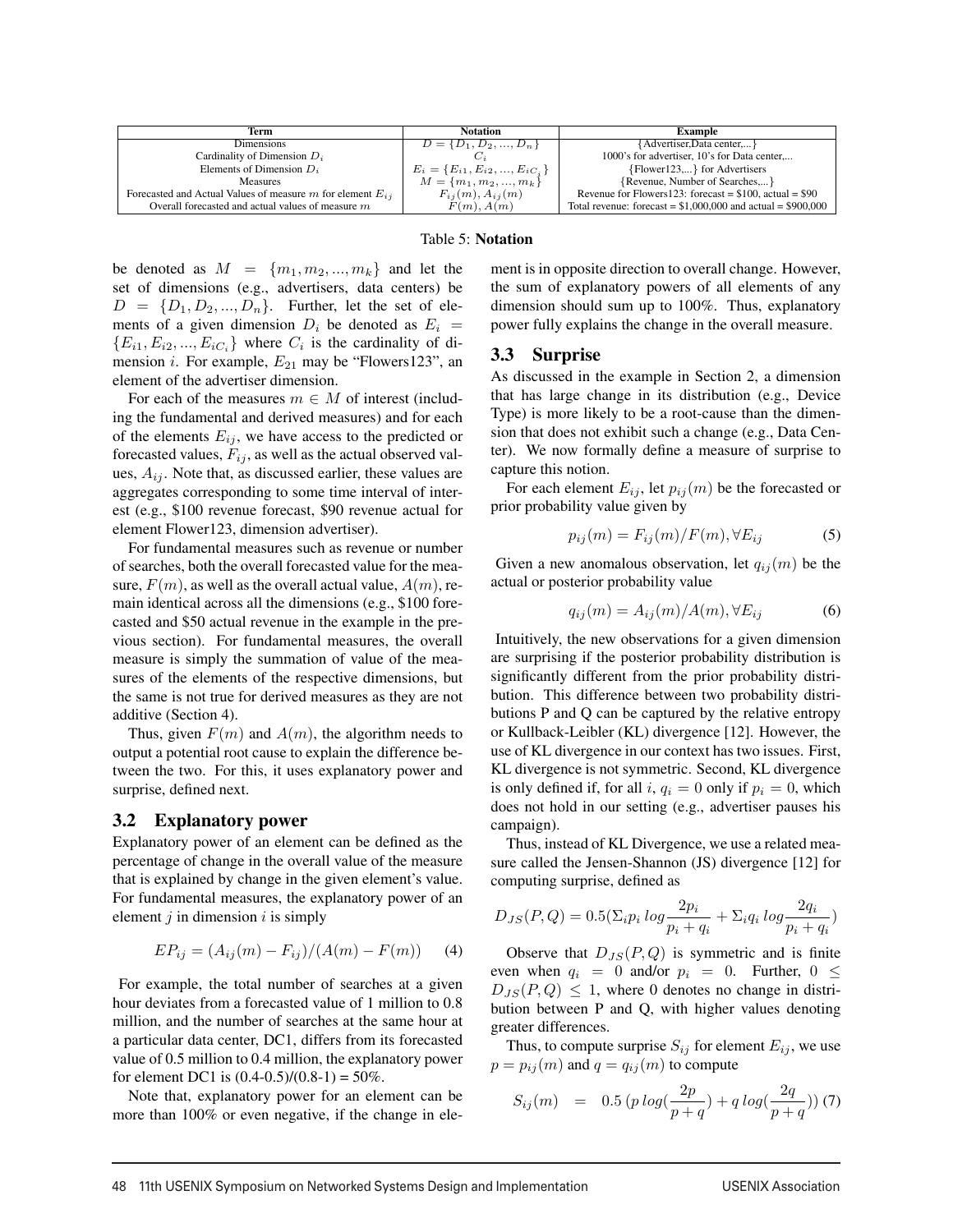| Term                                                           | <b>Notation</b>                         | <b>Example</b>                                                 |  |
|----------------------------------------------------------------|-----------------------------------------|----------------------------------------------------------------|--|
| <b>Dimensions</b>                                              | $D = \{D_1, D_2, , D_n\}$               | {Advertiser,Data center,}                                      |  |
| Cardinality of Dimension $D_i$                                 |                                         | 1000's for advertiser. 10's for Data center                    |  |
| Elements of Dimension $D_i$                                    | $E_i = \{E_{i1}, E_{i2}, , E_{iC_i}\}\$ | {Flower123,} for Advertisers                                   |  |
| <b>Measures</b>                                                | $M = \{m_1, m_2, , m_k\}$               | {Revenue, Number of Searches,}                                 |  |
| Forecasted and Actual Values of measure m for element $E_{ij}$ | $F_{ij}(m), A_{ij}(m)$                  | Revenue for Flowers 123: forecast = $$100$ , actual = $$90$    |  |
| Overall forecasted and actual values of measure $m$            | $F(m)$ , $A(m)$                         | Total revenue: forecast = $$1,000,000$ and actual = $$900,000$ |  |

#### Table 5: Notation

be denoted as  $M = \{m_1, m_2, ..., m_k\}$  and let the set of dimensions (e.g., advertisers, data centers) be  $D = \{D_1, D_2, ..., D_n\}$ . Further, let the set of elements of a given dimension  $D_i$  be denoted as  $E_i$  =  ${E_{i1}, E_{i2}, ..., E_{iC_i}}$  where  $C_i$  is the cardinality of dimension *i*. For example,  $E_{21}$  may be "Flowers123", an element of the advertiser dimension.

For each of the measures  $m \in M$  of interest (including the fundamental and derived measures) and for each of the elements  $E_{ij}$ , we have access to the predicted or forecasted values,  $F_{ij}$ , as well as the actual observed values,  $A_{ij}$ . Note that, as discussed earlier, these values are aggregates corresponding to some time interval of interest (e.g., \$100 revenue forecast, \$90 revenue actual for element Flower123, dimension advertiser).

For fundamental measures such as revenue or number of searches, both the overall forecasted value for the measure,  $F(m)$ , as well as the overall actual value,  $A(m)$ , remain identical across all the dimensions (e.g., \$100 forecasted and \$50 actual revenue in the example in the previous section). For fundamental measures, the overall measure is simply the summation of value of the measures of the elements of the respective dimensions, but the same is not true for derived measures as they are not additive (Section 4).

Thus, given  $F(m)$  and  $A(m)$ , the algorithm needs to output a potential root cause to explain the difference between the two. For this, it uses explanatory power and surprise, defined next.

#### 3.2 Explanatory power

Explanatory power of an element can be defined as the percentage of change in the overall value of the measure that is explained by change in the given element's value. For fundamental measures, the explanatory power of an element  $j$  in dimension  $i$  is simply

$$
EP_{ij} = (A_{ij}(m) - F_{ij})/(A(m) - F(m)) \tag{4}
$$

For example, the total number of searches at a given hour deviates from a forecasted value of 1 million to 0.8 million, and the number of searches at the same hour at a particular data center, DC1, differs from its forecasted value of 0.5 million to 0.4 million, the explanatory power for element DC1 is  $(0.4-0.5)/(0.8-1) = 50\%$ .

Note that, explanatory power for an element can be more than 100% or even negative, if the change in ele-

ment is in opposite direction to overall change. However, the sum of explanatory powers of all elements of any dimension should sum up to 100%. Thus, explanatory power fully explains the change in the overall measure.

#### 3.3 Surprise

As discussed in the example in Section 2, a dimension that has large change in its distribution (e.g., Device Type) is more likely to be a root-cause than the dimension that does not exhibit such a change (e.g., Data Center). We now formally define a measure of surprise to capture this notion.

For each element  $E_{ij}$ , let  $p_{ij}(m)$  be the forecasted or prior probability value given by

$$
p_{ij}(m) = F_{ij}(m)/F(m), \forall E_{ij}
$$
 (5)

Given a new anomalous observation, let  $q_{ij}(m)$  be the actual or posterior probability value

$$
q_{ij}(m) = A_{ij}(m)/A(m), \forall E_{ij}
$$
 (6)

Intuitively, the new observations for a given dimension are surprising if the posterior probability distribution is significantly different from the prior probability distribution. This difference between two probability distributions P and Q can be captured by the relative entropy or Kullback-Leibler (KL) divergence [12]. However, the use of KL divergence in our context has two issues. First, KL divergence is not symmetric. Second, KL divergence is only defined if, for all i,  $q_i = 0$  only if  $p_i = 0$ , which does not hold in our setting (e.g., advertiser pauses his campaign).

Thus, instead of KL Divergence, we use a related measure called the Jensen-Shannon (JS) divergence [12] for computing surprise, defined as

$$
D_{JS}(P,Q) = 0.5(\Sigma_i p_i \log \frac{2p_i}{p_i + q_i} + \Sigma_i q_i \log \frac{2q_i}{p_i + q_i})
$$

Observe that  $D_{JS}(P,Q)$  is symmetric and is finite even when  $q_i = 0$  and/or  $p_i = 0$ . Further,  $0 \leq$  $D_{JS}(P,Q) \leq 1$ , where 0 denotes no change in distribution between P and Q, with higher values denoting greater differences.

Thus, to compute surprise  $S_{ij}$  for element  $E_{ij}$ , we use  $p = p_{ij}(m)$  and  $q = q_{ij}(m)$  to compute

$$
S_{ij}(m) = 0.5 (p \log(\frac{2p}{p+q}) + q \log(\frac{2q}{p+q})) (7)
$$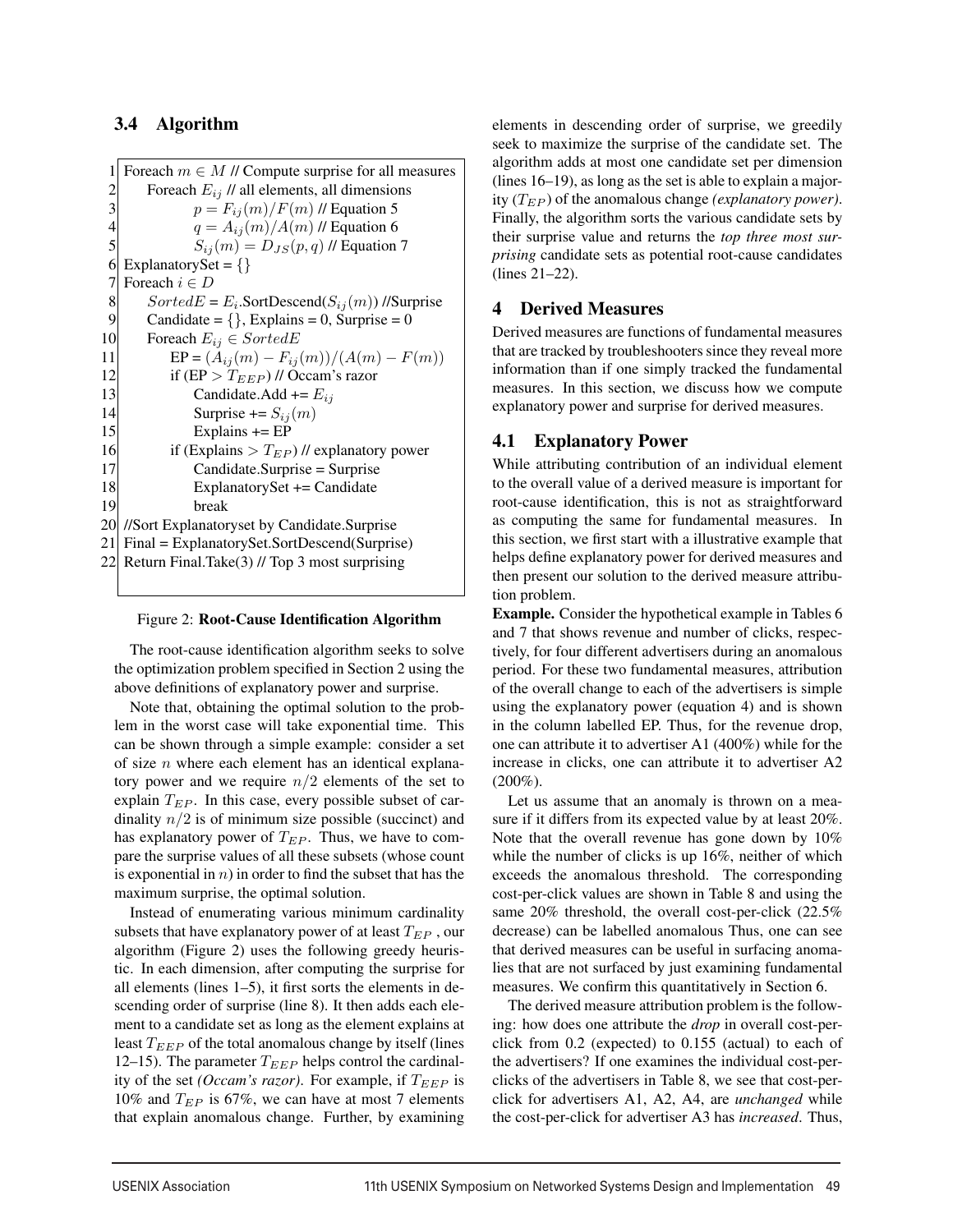# 3.4 Algorithm

1 Foreach  $m \in M$  // Compute surprise for all measures<br>
Foreach  $E_{ij}$  // all elements, all dimensions<br>  $p = F_{ij}(m)/F(m)$  // Equation 5 Foreach  $E_{ij}$  // all elements, all dimensions 3<br>  $p = F_{ij}(m)/F(m)$  // Equation 5<br>  $q = A_{ij}(m)/A(m)$  // Equation 6 4  $q = A_{ij}(m)/A(m)$  // Equation 6<br>5  $S_{ij}(m) = D_{JS}(p,q)$  // Equation 5<br>  $S_{ij}(m) = D_{JS}(p, q)$  // Equation 7<br>
6 ExplanatorySet = {} 6 ExplanatorySet = {}<br>7 Foreach  $i \in D$  $7 \n\begin{array}{l}\n7 \ \text{For each } i \in D \\
8 \ \text{SortedE} =\n\end{array}$ 8 SortedE =  $E_i$ .SortDescend( $S_{ij}(m)$ ) //Surprise<br>9 Candidate = {}. Explains = 0. Surprise = 0 9 Candidate = {}, Explains = 0, Surprise = 0<br>10 Foreach  $E_{ij} \in SortedE$ 10 Foreach  $E_{ij} \in SortedE$ <br>11 EP =  $(A_{ij}(m) - F_{ij})$ 11 EP =  $(A_{ij}(m) - F_{ij}(m))/(A(m) - F(m))$ <br>
12 if (EP >  $T_{EEP}$ ) // Occam's razor if  $(EP > T_{EEP})$  // Occam's razor 13 Candidate.Add +=  $E_{ij}$ <br>14 Surprise +=  $S_{ij}(m)$ Surprise +=  $S_{ij}(m)$  $15$  Explains  $+=$  EP16 if (Explains  $>T_{EP}$ ) // explanatory power 17 Candidate.Surprise = Surprise 18 ExplanatorySet += Candidate<br>19 break break 20 //Sort Explanatoryset by Candidate.Surprise 21 Final = ExplanatorySet.SortDescend(Surprise) 22 Return Final.Take $(3)$  // Top 3 most surprising

#### Figure 2: Root-Cause Identification Algorithm

The root-cause identification algorithm seeks to solve the optimization problem specified in Section 2 using the above definitions of explanatory power and surprise.

Note that, obtaining the optimal solution to the problem in the worst case will take exponential time. This can be shown through a simple example: consider a set of size  $n$  where each element has an identical explanatory power and we require  $n/2$  elements of the set to explain  $T_{EP}$ . In this case, every possible subset of cardinality  $n/2$  is of minimum size possible (succinct) and has explanatory power of  $T_{EP}$ . Thus, we have to compare the surprise values of all these subsets (whose count is exponential in  $n)$  in order to find the subset that has the maximum surprise, the optimal solution.

Instead of enumerating various minimum cardinality subsets that have explanatory power of at least  $T_{EP}$ , our algorithm (Figure 2) uses the following greedy heuristic. In each dimension, after computing the surprise for all elements (lines 1–5), it first sorts the elements in descending order of surprise (line 8). It then adds each element to a candidate set as long as the element explains at least  $T_{EEP}$  of the total anomalous change by itself (lines 12–15). The parameter  $T_{EEP}$  helps control the cardinality of the set *(Occam's razor)*. For example, if  $T_{EEP}$  is 10% and  $T_{EP}$  is 67%, we can have at most 7 elements that explain anomalous change. Further, by examining elements in descending order of surprise, we greedily seek to maximize the surprise of the candidate set. The algorithm adds at most one candidate set per dimension (lines 16–19), as long as the set is able to explain a majority  $(T_{EP})$  of the anomalous change *(explanatory power)*. Finally, the algorithm sorts the various candidate sets by their surprise value and returns the *top three most surprising* candidate sets as potential root-cause candidates (lines 21–22).

# 4 Derived Measures

Derived measures are functions of fundamental measures that are tracked by troubleshooters since they reveal more information than if one simply tracked the fundamental measures. In this section, we discuss how we compute explanatory power and surprise for derived measures.

# 4.1 Explanatory Power

While attributing contribution of an individual element to the overall value of a derived measure is important for root-cause identification, this is not as straightforward as computing the same for fundamental measures. In this section, we first start with a illustrative example that helps define explanatory power for derived measures and then present our solution to the derived measure attribution problem.

Example. Consider the hypothetical example in Tables 6 and 7 that shows revenue and number of clicks, respectively, for four different advertisers during an anomalous period. For these two fundamental measures, attribution of the overall change to each of the advertisers is simple using the explanatory power (equation 4) and is shown in the column labelled EP. Thus, for the revenue drop, one can attribute it to advertiser A1 (400%) while for the increase in clicks, one can attribute it to advertiser A2 (200%).

Let us assume that an anomaly is thrown on a measure if it differs from its expected value by at least 20%. Note that the overall revenue has gone down by 10% while the number of clicks is up 16%, neither of which exceeds the anomalous threshold. The corresponding cost-per-click values are shown in Table 8 and using the same 20% threshold, the overall cost-per-click (22.5% decrease) can be labelled anomalous Thus, one can see that derived measures can be useful in surfacing anomalies that are not surfaced by just examining fundamental measures. We confirm this quantitatively in Section 6.

The derived measure attribution problem is the following: how does one attribute the *drop* in overall cost-perclick from 0.2 (expected) to 0.155 (actual) to each of the advertisers? If one examines the individual cost-perclicks of the advertisers in Table 8, we see that cost-perclick for advertisers A1, A2, A4, are *unchanged* while the cost-per-click for advertiser A3 has *increased*. Thus,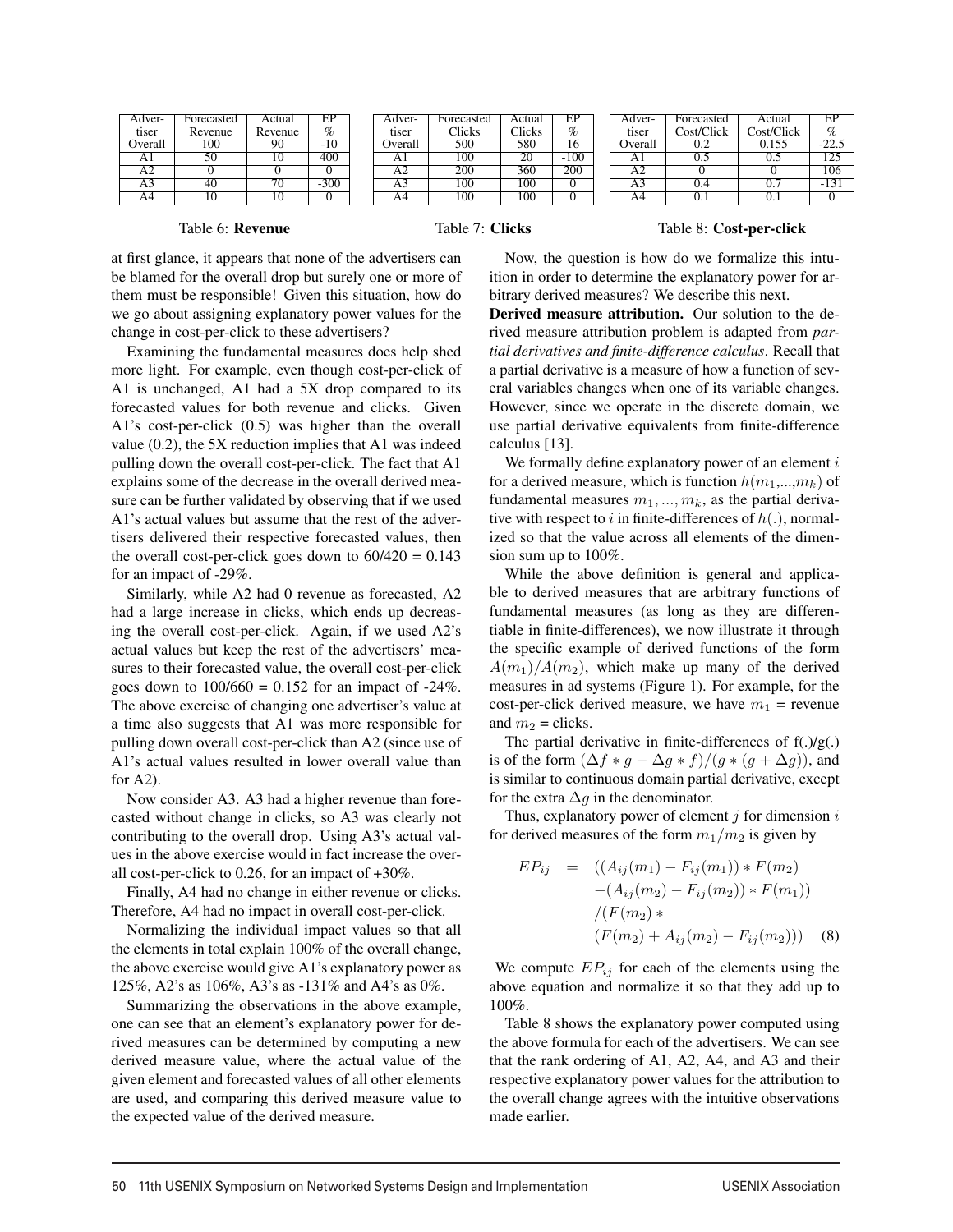| Adver-  | Forecasted | Actual         |        |
|---------|------------|----------------|--------|
| tiser   | Revenue    | Revenue        | $\phi$ |
| Overall | 100        |                | -10    |
|         | ٢Λ         | $\blacksquare$ |        |
| AЭ      |            |                |        |
| А3      |            | $\eta$         | -300   |
|         |            |                |        |

| Adver-  | Forecasted | Actual | FР     |
|---------|------------|--------|--------|
| tiser   | Clicks     | Clicks | $\%$   |
| Overall | 500        | 580    | 16     |
|         | 100        | 20     | $-100$ |
| A2.     | 200        | 360    | 200    |
| A3      | 100        | 100    |        |
|         |            |        |        |

| Adver-  | Forecasted | Actual     | 또               |
|---------|------------|------------|-----------------|
| tiser   | Cost/Click | Cost/Click | $\mathcal{O}_0$ |
| Overall | ΤŽ         | 0.155      | $-22.5$         |
|         |            |            | 125             |
| A2      |            |            | 106             |
| AЗ      |            | 07         | $-131$          |
|         |            |            |                 |

#### Table 6: Revenue

Table 7: Clicks

#### Table 8: Cost-per-click

Now, the question is how do we formalize this intuition in order to determine the explanatory power for arbitrary derived measures? We describe this next.

Derived measure attribution. Our solution to the derived measure attribution problem is adapted from *partial derivatives and finite-difference calculus*. Recall that a partial derivative is a measure of how a function of several variables changes when one of its variable changes. However, since we operate in the discrete domain, we use partial derivative equivalents from finite-difference calculus [13].

We formally define explanatory power of an element  $i$ for a derived measure, which is function  $h(m_1,...,m_k)$  of fundamental measures  $m_1, ..., m_k$ , as the partial derivative with respect to i in finite-differences of  $h(.)$ , normalized so that the value across all elements of the dimension sum up to 100%.

While the above definition is general and applicable to derived measures that are arbitrary functions of fundamental measures (as long as they are differentiable in finite-differences), we now illustrate it through the specific example of derived functions of the form  $A(m_1)/A(m_2)$ , which make up many of the derived measures in ad systems (Figure 1). For example, for the cost-per-click derived measure, we have  $m_1$  = revenue and  $m_2$  = clicks.

The partial derivative in finite-differences of  $f(.)/g(.)$ is of the form  $(\Delta f * g - \Delta g * f)/(g * (g + \Delta g))$ , and is similar to continuous domain partial derivative, except for the extra  $\Delta q$  in the denominator.

Thus, explanatory power of element  $i$  for dimension  $i$ for derived measures of the form  $m_1/m_2$  is given by

$$
EP_{ij} = ((A_{ij}(m_1) - F_{ij}(m_1)) * F(m_2)
$$
  
\n
$$
-(A_{ij}(m_2) - F_{ij}(m_2)) * F(m_1))
$$
  
\n
$$
/(F(m_2) * (F(m_2) + A_{ij}(m_2) - F_{ij}(m_2)))
$$
 (8)

We compute  $EP_{ij}$  for each of the elements using the above equation and normalize it so that they add up to 100%.

Table 8 shows the explanatory power computed using the above formula for each of the advertisers. We can see that the rank ordering of A1, A2, A4, and A3 and their respective explanatory power values for the attribution to the overall change agrees with the intuitive observations made earlier.

be blamed for the overall drop but surely one or more of them must be responsible! Given this situation, how do we go about assigning explanatory power values for the change in cost-per-click to these advertisers? Examining the fundamental measures does help shed more light. For example, even though cost-per-click of A1 is unchanged, A1 had a 5X drop compared to its

at first glance, it appears that none of the advertisers can

forecasted values for both revenue and clicks. Given A1's cost-per-click (0.5) was higher than the overall value (0.2), the 5X reduction implies that A1 was indeed pulling down the overall cost-per-click. The fact that A1 explains some of the decrease in the overall derived measure can be further validated by observing that if we used A1's actual values but assume that the rest of the advertisers delivered their respective forecasted values, then the overall cost-per-click goes down to  $60/420 = 0.143$ for an impact of -29%.

Similarly, while A2 had 0 revenue as forecasted, A2 had a large increase in clicks, which ends up decreasing the overall cost-per-click. Again, if we used A2's actual values but keep the rest of the advertisers' measures to their forecasted value, the overall cost-per-click goes down to  $100/660 = 0.152$  for an impact of  $-24\%$ . The above exercise of changing one advertiser's value at a time also suggests that A1 was more responsible for pulling down overall cost-per-click than A2 (since use of A1's actual values resulted in lower overall value than for A2).

Now consider A3. A3 had a higher revenue than forecasted without change in clicks, so A3 was clearly not contributing to the overall drop. Using A3's actual values in the above exercise would in fact increase the overall cost-per-click to 0.26, for an impact of +30%.

Finally, A4 had no change in either revenue or clicks. Therefore, A4 had no impact in overall cost-per-click.

Normalizing the individual impact values so that all the elements in total explain 100% of the overall change, the above exercise would give A1's explanatory power as 125%, A2's as 106%, A3's as -131% and A4's as 0%.

Summarizing the observations in the above example, one can see that an element's explanatory power for derived measures can be determined by computing a new derived measure value, where the actual value of the given element and forecasted values of all other elements are used, and comparing this derived measure value to the expected value of the derived measure.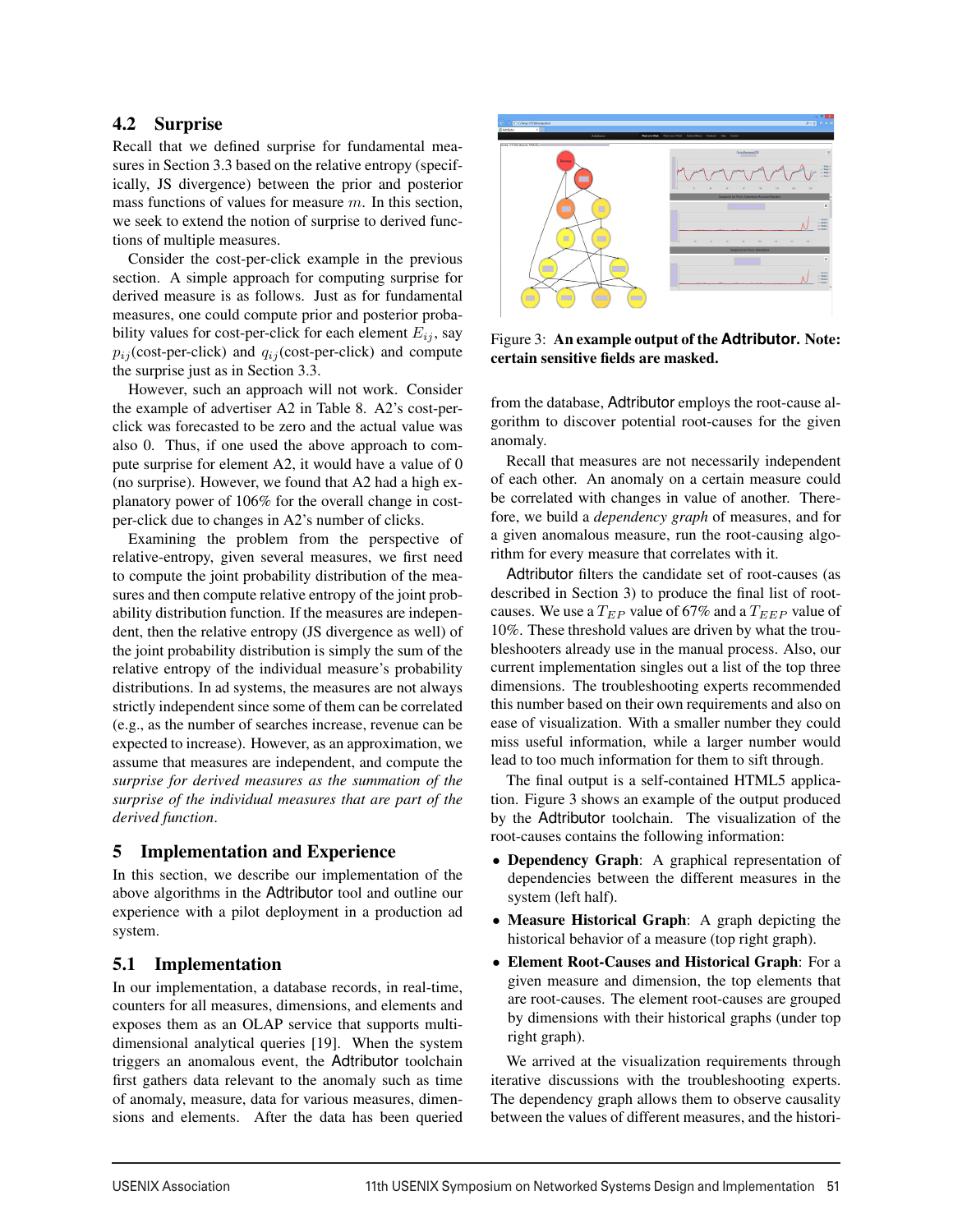## 4.2 Surprise

Recall that we defined surprise for fundamental measures in Section 3.3 based on the relative entropy (specifically, JS divergence) between the prior and posterior mass functions of values for measure  $m$ . In this section, we seek to extend the notion of surprise to derived functions of multiple measures.

Consider the cost-per-click example in the previous section. A simple approach for computing surprise for derived measure is as follows. Just as for fundamental measures, one could compute prior and posterior probability values for cost-per-click for each element  $E_{ij}$ , say  $p_{ij}$ (cost-per-click) and  $q_{ij}$ (cost-per-click) and compute the surprise just as in Section 3.3.

However, such an approach will not work. Consider the example of advertiser A2 in Table 8. A2's cost-perclick was forecasted to be zero and the actual value was also 0. Thus, if one used the above approach to compute surprise for element A2, it would have a value of 0 (no surprise). However, we found that A2 had a high explanatory power of 106% for the overall change in costper-click due to changes in A2's number of clicks.

Examining the problem from the perspective of relative-entropy, given several measures, we first need to compute the joint probability distribution of the measures and then compute relative entropy of the joint probability distribution function. If the measures are independent, then the relative entropy (JS divergence as well) of the joint probability distribution is simply the sum of the relative entropy of the individual measure's probability distributions. In ad systems, the measures are not always strictly independent since some of them can be correlated (e.g., as the number of searches increase, revenue can be expected to increase). However, as an approximation, we assume that measures are independent, and compute the *surprise for derived measures as the summation of the surprise of the individual measures that are part of the derived function*.

## 5 Implementation and Experience

In this section, we describe our implementation of the above algorithms in the Adtributor tool and outline our experience with a pilot deployment in a production ad system.

## 5.1 Implementation

In our implementation, a database records, in real-time, counters for all measures, dimensions, and elements and exposes them as an OLAP service that supports multidimensional analytical queries [19]. When the system triggers an anomalous event, the Adtributor toolchain first gathers data relevant to the anomaly such as time of anomaly, measure, data for various measures, dimensions and elements. After the data has been queried



Figure 3: An example output of the **Adtributor**. Note: certain sensitive fields are masked.

from the database, Adtributor employs the root-cause algorithm to discover potential root-causes for the given anomaly.

Recall that measures are not necessarily independent of each other. An anomaly on a certain measure could be correlated with changes in value of another. Therefore, we build a *dependency graph* of measures, and for a given anomalous measure, run the root-causing algorithm for every measure that correlates with it.

Adtributor filters the candidate set of root-causes (as described in Section 3) to produce the final list of rootcauses. We use a  $T_{EP}$  value of 67% and a  $T_{EEP}$  value of 10%. These threshold values are driven by what the troubleshooters already use in the manual process. Also, our current implementation singles out a list of the top three dimensions. The troubleshooting experts recommended this number based on their own requirements and also on ease of visualization. With a smaller number they could miss useful information, while a larger number would lead to too much information for them to sift through.

The final output is a self-contained HTML5 application. Figure 3 shows an example of the output produced by the Adtributor toolchain. The visualization of the root-causes contains the following information:

- Dependency Graph: A graphical representation of dependencies between the different measures in the system (left half).
- Measure Historical Graph: A graph depicting the historical behavior of a measure (top right graph).
- Element Root-Causes and Historical Graph: For a given measure and dimension, the top elements that are root-causes. The element root-causes are grouped by dimensions with their historical graphs (under top right graph).

We arrived at the visualization requirements through iterative discussions with the troubleshooting experts. The dependency graph allows them to observe causality between the values of different measures, and the histori-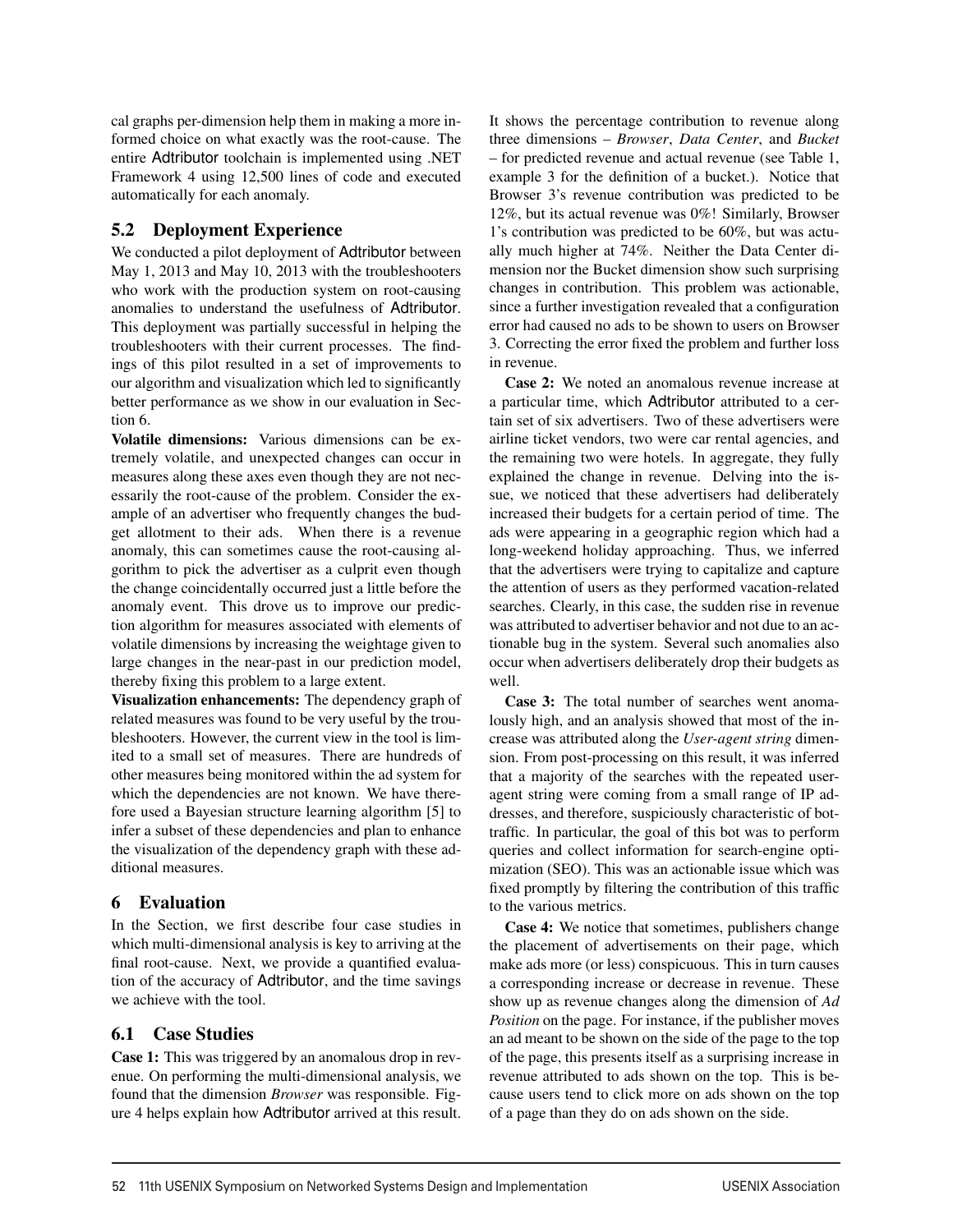cal graphs per-dimension help them in making a more informed choice on what exactly was the root-cause. The entire Adtributor toolchain is implemented using .NET Framework 4 using 12,500 lines of code and executed automatically for each anomaly.

# 5.2 Deployment Experience

We conducted a pilot deployment of Adtributor between May 1, 2013 and May 10, 2013 with the troubleshooters who work with the production system on root-causing anomalies to understand the usefulness of Adtributor. This deployment was partially successful in helping the troubleshooters with their current processes. The findings of this pilot resulted in a set of improvements to our algorithm and visualization which led to significantly better performance as we show in our evaluation in Section 6.

Volatile dimensions: Various dimensions can be extremely volatile, and unexpected changes can occur in measures along these axes even though they are not necessarily the root-cause of the problem. Consider the example of an advertiser who frequently changes the budget allotment to their ads. When there is a revenue anomaly, this can sometimes cause the root-causing algorithm to pick the advertiser as a culprit even though the change coincidentally occurred just a little before the anomaly event. This drove us to improve our prediction algorithm for measures associated with elements of volatile dimensions by increasing the weightage given to large changes in the near-past in our prediction model, thereby fixing this problem to a large extent.

Visualization enhancements: The dependency graph of related measures was found to be very useful by the troubleshooters. However, the current view in the tool is limited to a small set of measures. There are hundreds of other measures being monitored within the ad system for which the dependencies are not known. We have therefore used a Bayesian structure learning algorithm [5] to infer a subset of these dependencies and plan to enhance the visualization of the dependency graph with these additional measures.

# 6 Evaluation

In the Section, we first describe four case studies in which multi-dimensional analysis is key to arriving at the final root-cause. Next, we provide a quantified evaluation of the accuracy of Adtributor, and the time savings we achieve with the tool.

# 6.1 Case Studies

Case 1: This was triggered by an anomalous drop in revenue. On performing the multi-dimensional analysis, we found that the dimension *Browser* was responsible. Figure 4 helps explain how Adtributor arrived at this result.

It shows the percentage contribution to revenue along three dimensions – *Browser*, *Data Center*, and *Bucket* – for predicted revenue and actual revenue (see Table 1, example 3 for the definition of a bucket.). Notice that Browser 3's revenue contribution was predicted to be 12%, but its actual revenue was 0%! Similarly, Browser 1's contribution was predicted to be 60%, but was actually much higher at 74%. Neither the Data Center dimension nor the Bucket dimension show such surprising changes in contribution. This problem was actionable, since a further investigation revealed that a configuration error had caused no ads to be shown to users on Browser 3. Correcting the error fixed the problem and further loss in revenue.

Case 2: We noted an anomalous revenue increase at a particular time, which Adtributor attributed to a certain set of six advertisers. Two of these advertisers were airline ticket vendors, two were car rental agencies, and the remaining two were hotels. In aggregate, they fully explained the change in revenue. Delving into the issue, we noticed that these advertisers had deliberately increased their budgets for a certain period of time. The ads were appearing in a geographic region which had a long-weekend holiday approaching. Thus, we inferred that the advertisers were trying to capitalize and capture the attention of users as they performed vacation-related searches. Clearly, in this case, the sudden rise in revenue was attributed to advertiser behavior and not due to an actionable bug in the system. Several such anomalies also occur when advertisers deliberately drop their budgets as well.

Case 3: The total number of searches went anomalously high, and an analysis showed that most of the increase was attributed along the *User-agent string* dimension. From post-processing on this result, it was inferred that a majority of the searches with the repeated useragent string were coming from a small range of IP addresses, and therefore, suspiciously characteristic of bottraffic. In particular, the goal of this bot was to perform queries and collect information for search-engine optimization (SEO). This was an actionable issue which was fixed promptly by filtering the contribution of this traffic to the various metrics.

Case 4: We notice that sometimes, publishers change the placement of advertisements on their page, which make ads more (or less) conspicuous. This in turn causes a corresponding increase or decrease in revenue. These show up as revenue changes along the dimension of *Ad Position* on the page. For instance, if the publisher moves an ad meant to be shown on the side of the page to the top of the page, this presents itself as a surprising increase in revenue attributed to ads shown on the top. This is because users tend to click more on ads shown on the top of a page than they do on ads shown on the side.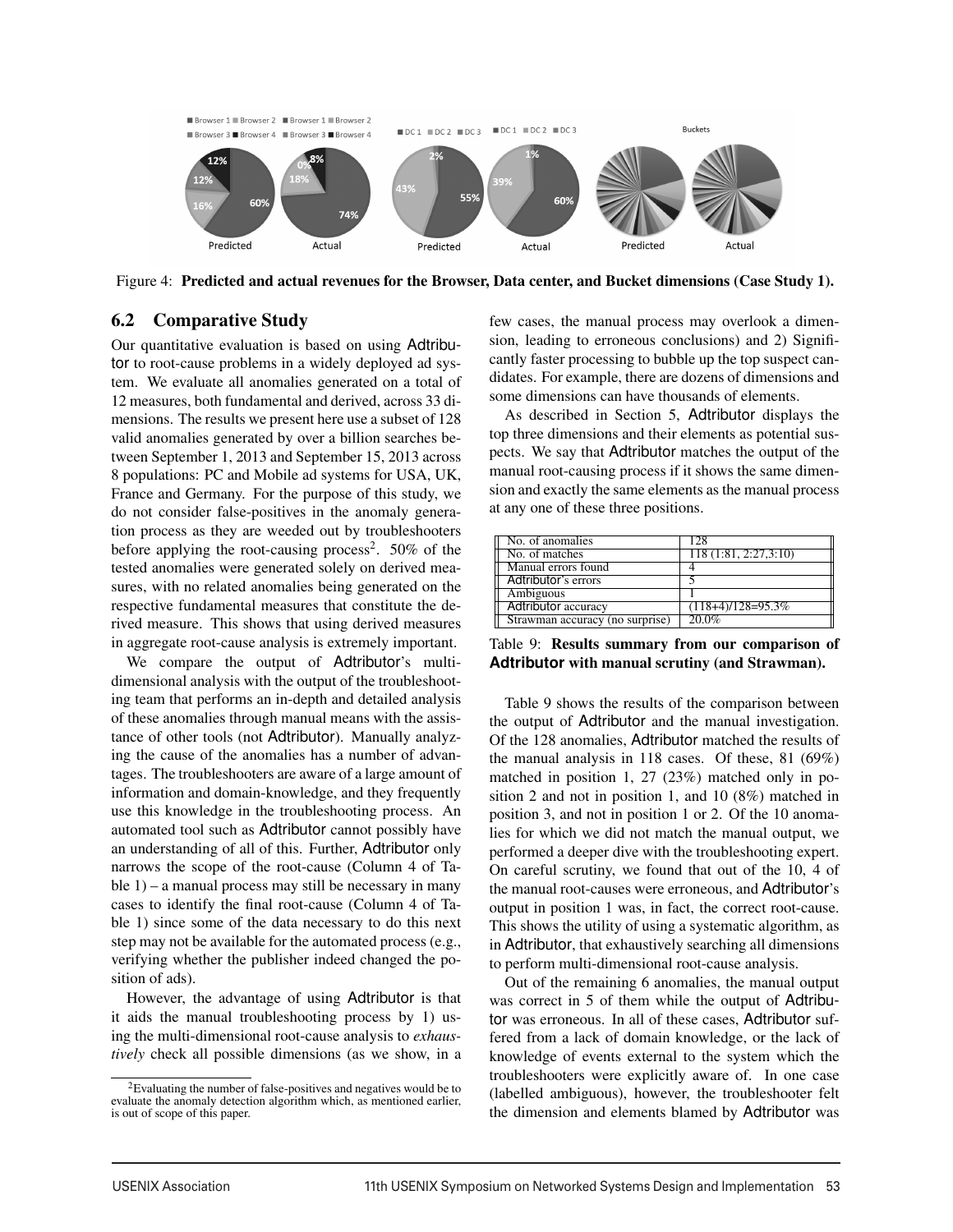

Figure 4: Predicted and actual revenues for the Browser, Data center, and Bucket dimensions (Case Study 1).

## 6.2 Comparative Study

Our quantitative evaluation is based on using Adtributor to root-cause problems in a widely deployed ad system. We evaluate all anomalies generated on a total of 12 measures, both fundamental and derived, across 33 dimensions. The results we present here use a subset of 128 valid anomalies generated by over a billion searches between September 1, 2013 and September 15, 2013 across 8 populations: PC and Mobile ad systems for USA, UK, France and Germany. For the purpose of this study, we do not consider false-positives in the anomaly generation process as they are weeded out by troubleshooters before applying the root-causing process<sup>2</sup>. 50% of the tested anomalies were generated solely on derived measures, with no related anomalies being generated on the respective fundamental measures that constitute the derived measure. This shows that using derived measures in aggregate root-cause analysis is extremely important.

We compare the output of Adtributor's multidimensional analysis with the output of the troubleshooting team that performs an in-depth and detailed analysis of these anomalies through manual means with the assistance of other tools (not Adtributor). Manually analyzing the cause of the anomalies has a number of advantages. The troubleshooters are aware of a large amount of information and domain-knowledge, and they frequently use this knowledge in the troubleshooting process. An automated tool such as Adtributor cannot possibly have an understanding of all of this. Further, Adtributor only narrows the scope of the root-cause (Column 4 of Table 1) – a manual process may still be necessary in many cases to identify the final root-cause (Column 4 of Table 1) since some of the data necessary to do this next step may not be available for the automated process (e.g., verifying whether the publisher indeed changed the position of ads).

However, the advantage of using Adtributor is that it aids the manual troubleshooting process by 1) using the multi-dimensional root-cause analysis to *exhaustively* check all possible dimensions (as we show, in a few cases, the manual process may overlook a dimension, leading to erroneous conclusions) and 2) Significantly faster processing to bubble up the top suspect candidates. For example, there are dozens of dimensions and some dimensions can have thousands of elements.

As described in Section 5, Adtributor displays the top three dimensions and their elements as potential suspects. We say that Adtributor matches the output of the manual root-causing process if it shows the same dimension and exactly the same elements as the manual process at any one of these three positions.

| No. of anomalies                | '28                  |
|---------------------------------|----------------------|
| No. of matches                  | 118(1:81, 2:27,3:10) |
| Manual errors found             |                      |
| Adtributor's errors             |                      |
| Ambiguous                       |                      |
| <b>Adtributor</b> accuracy      | $(118+4)/128=95.3%$  |
| Strawman accuracy (no surprise) | 20.0%                |

Table 9: Results summary from our comparison of **Adtributor** with manual scrutiny (and Strawman).

Table 9 shows the results of the comparison between the output of Adtributor and the manual investigation. Of the 128 anomalies, Adtributor matched the results of the manual analysis in 118 cases. Of these, 81 (69%) matched in position 1, 27 (23%) matched only in position 2 and not in position 1, and 10 (8%) matched in position 3, and not in position 1 or 2. Of the 10 anomalies for which we did not match the manual output, we performed a deeper dive with the troubleshooting expert. On careful scrutiny, we found that out of the 10, 4 of the manual root-causes were erroneous, and Adtributor's output in position 1 was, in fact, the correct root-cause. This shows the utility of using a systematic algorithm, as in Adtributor, that exhaustively searching all dimensions to perform multi-dimensional root-cause analysis.

Out of the remaining 6 anomalies, the manual output was correct in 5 of them while the output of Adtributor was erroneous. In all of these cases, Adtributor suffered from a lack of domain knowledge, or the lack of knowledge of events external to the system which the troubleshooters were explicitly aware of. In one case (labelled ambiguous), however, the troubleshooter felt the dimension and elements blamed by Adtributor was

<sup>2</sup>Evaluating the number of false-positives and negatives would be to evaluate the anomaly detection algorithm which, as mentioned earlier, is out of scope of this paper.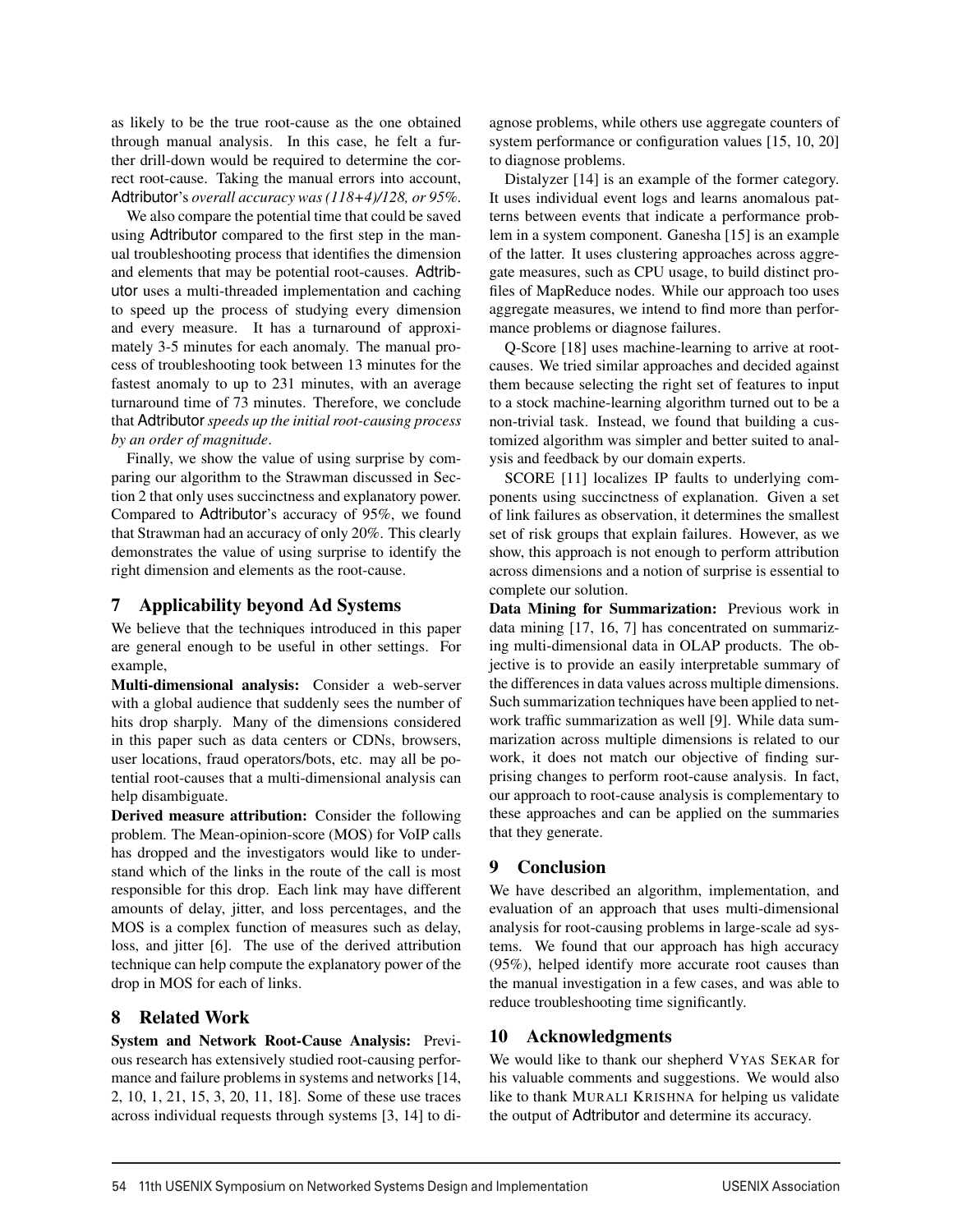as likely to be the true root-cause as the one obtained through manual analysis. In this case, he felt a further drill-down would be required to determine the correct root-cause. Taking the manual errors into account, Adtributor's *overall accuracy was (118+4)/128, or 95%*.

We also compare the potential time that could be saved using Adtributor compared to the first step in the manual troubleshooting process that identifies the dimension and elements that may be potential root-causes. Adtributor uses a multi-threaded implementation and caching to speed up the process of studying every dimension and every measure. It has a turnaround of approximately 3-5 minutes for each anomaly. The manual process of troubleshooting took between 13 minutes for the fastest anomaly to up to 231 minutes, with an average turnaround time of 73 minutes. Therefore, we conclude that Adtributor *speeds up the initial root-causing process by an order of magnitude*.

Finally, we show the value of using surprise by comparing our algorithm to the Strawman discussed in Section 2 that only uses succinctness and explanatory power. Compared to Adtributor's accuracy of 95%, we found that Strawman had an accuracy of only 20%. This clearly demonstrates the value of using surprise to identify the right dimension and elements as the root-cause.

## 7 Applicability beyond Ad Systems

We believe that the techniques introduced in this paper are general enough to be useful in other settings. For example,

Multi-dimensional analysis: Consider a web-server with a global audience that suddenly sees the number of hits drop sharply. Many of the dimensions considered in this paper such as data centers or CDNs, browsers, user locations, fraud operators/bots, etc. may all be potential root-causes that a multi-dimensional analysis can help disambiguate.

Derived measure attribution: Consider the following problem. The Mean-opinion-score (MOS) for VoIP calls has dropped and the investigators would like to understand which of the links in the route of the call is most responsible for this drop. Each link may have different amounts of delay, jitter, and loss percentages, and the MOS is a complex function of measures such as delay, loss, and jitter [6]. The use of the derived attribution technique can help compute the explanatory power of the drop in MOS for each of links.

## 8 Related Work

System and Network Root-Cause Analysis: Previous research has extensively studied root-causing performance and failure problems in systems and networks [14, 2, 10, 1, 21, 15, 3, 20, 11, 18]. Some of these use traces across individual requests through systems [3, 14] to diagnose problems, while others use aggregate counters of system performance or configuration values [15, 10, 20] to diagnose problems.

Distalyzer [14] is an example of the former category. It uses individual event logs and learns anomalous patterns between events that indicate a performance problem in a system component. Ganesha [15] is an example of the latter. It uses clustering approaches across aggregate measures, such as CPU usage, to build distinct profiles of MapReduce nodes. While our approach too uses aggregate measures, we intend to find more than performance problems or diagnose failures.

Q-Score [18] uses machine-learning to arrive at rootcauses. We tried similar approaches and decided against them because selecting the right set of features to input to a stock machine-learning algorithm turned out to be a non-trivial task. Instead, we found that building a customized algorithm was simpler and better suited to analysis and feedback by our domain experts.

SCORE [11] localizes IP faults to underlying components using succinctness of explanation. Given a set of link failures as observation, it determines the smallest set of risk groups that explain failures. However, as we show, this approach is not enough to perform attribution across dimensions and a notion of surprise is essential to complete our solution.

Data Mining for Summarization: Previous work in data mining [17, 16, 7] has concentrated on summarizing multi-dimensional data in OLAP products. The objective is to provide an easily interpretable summary of the differences in data values across multiple dimensions. Such summarization techniques have been applied to network traffic summarization as well [9]. While data summarization across multiple dimensions is related to our work, it does not match our objective of finding surprising changes to perform root-cause analysis. In fact, our approach to root-cause analysis is complementary to these approaches and can be applied on the summaries that they generate.

#### 9 Conclusion

We have described an algorithm, implementation, and evaluation of an approach that uses multi-dimensional analysis for root-causing problems in large-scale ad systems. We found that our approach has high accuracy (95%), helped identify more accurate root causes than the manual investigation in a few cases, and was able to reduce troubleshooting time significantly.

## 10 Acknowledgments

12

We would like to thank our shepherd VYAS SEKAR for his valuable comments and suggestions. We would also like to thank MURALI KRISHNA for helping us validate the output of Adtributor and determine its accuracy.